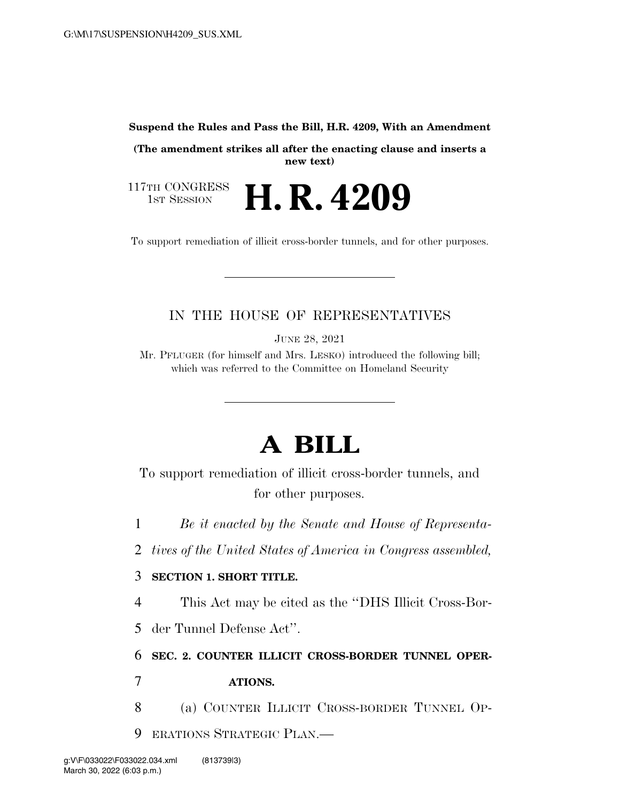#### **Suspend the Rules and Pass the Bill, H.R. 4209, With an Amendment**

**(The amendment strikes all after the enacting clause and inserts a new text)** 

117TH CONGRESS<br>1st Session H. R. 4209

To support remediation of illicit cross-border tunnels, and for other purposes.

## IN THE HOUSE OF REPRESENTATIVES

JUNE 28, 2021

Mr. PFLUGER (for himself and Mrs. LESKO) introduced the following bill; which was referred to the Committee on Homeland Security

# **A BILL**

To support remediation of illicit cross-border tunnels, and for other purposes.

1 *Be it enacted by the Senate and House of Representa-*

2 *tives of the United States of America in Congress assembled,* 

### 3 **SECTION 1. SHORT TITLE.**

4 This Act may be cited as the ''DHS Illicit Cross-Bor-

5 der Tunnel Defense Act''.

6 **SEC. 2. COUNTER ILLICIT CROSS-BORDER TUNNEL OPER-**

### 7 **ATIONS.**

- 8 (a) COUNTER ILLICIT CROSS-BORDER TUNNEL OP-
- 9 ERATIONS STRATEGIC PLAN.—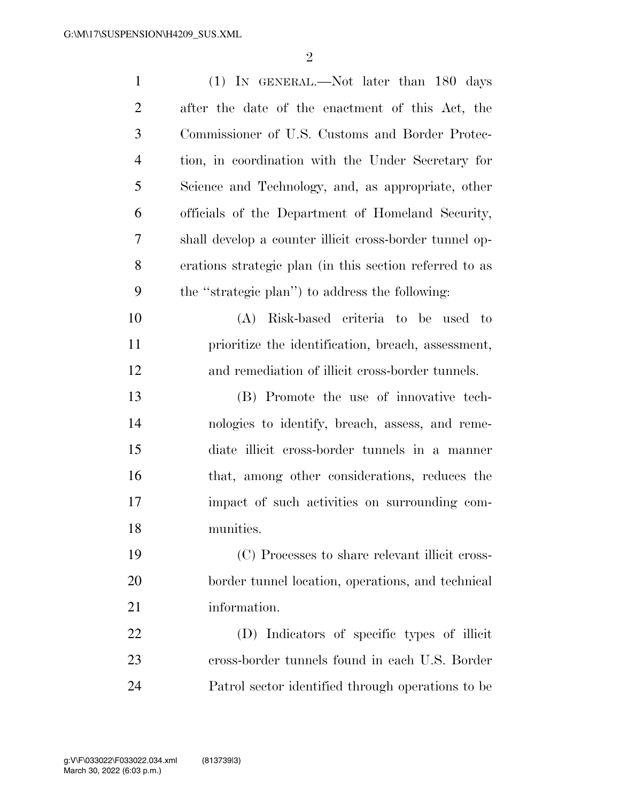| $\mathbf{1}$   | $(1)$ IN GENERAL.—Not later than 180 days               |
|----------------|---------------------------------------------------------|
| $\overline{2}$ | after the date of the enactment of this Act, the        |
| 3              | Commissioner of U.S. Customs and Border Protec-         |
| $\overline{4}$ | tion, in coordination with the Under Secretary for      |
| 5              | Science and Technology, and, as appropriate, other      |
| 6              | officials of the Department of Homeland Security,       |
| 7              | shall develop a counter illicit cross-border tunnel op- |
| 8              | erations strategic plan (in this section referred to as |
| 9              | the "strategic plan") to address the following:         |
| 10             | Risk-based criteria to be used to<br>(A)                |
| 11             | prioritize the identification, breach, assessment,      |
| 12             | and remediation of illicit cross-border tunnels.        |
| 13             | (B) Promote the use of innovative tech-                 |
| 14             | nologies to identify, breach, assess, and reme-         |
| 15             | diate illicit cross-border tunnels in a manner          |
| 16             | that, among other considerations, reduces the           |
| 17             | impact of such activities on surrounding com-           |
| 18             | munities.                                               |
| 19             | (C) Processes to share relevant illicit cross-          |
| 20             | border tunnel location, operations, and technical       |
| 21             | information.                                            |
| 22             | (D) Indicators of specific types of illicit             |
| 23             | cross-border tunnels found in each U.S. Border          |
| 24             | Patrol sector identified through operations to be       |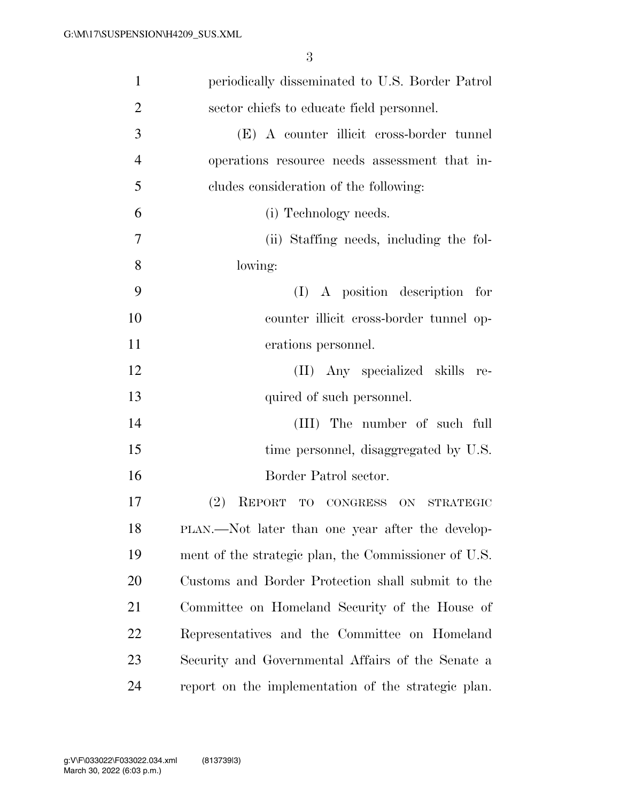| $\mathbf{1}$   | periodically disseminated to U.S. Border Patrol      |
|----------------|------------------------------------------------------|
| $\overline{2}$ | sector chiefs to educate field personnel.            |
| 3              | (E) A counter illicit cross-border tunnel            |
| $\overline{4}$ | operations resource needs assessment that in-        |
| 5              | cludes consideration of the following:               |
| 6              | (i) Technology needs.                                |
| $\tau$         | (ii) Staffing needs, including the fol-              |
| 8              | lowing:                                              |
| 9              | $(I)$ A position description for                     |
| 10             | counter illicit cross-border tunnel op-              |
| 11             | erations personnel.                                  |
| 12             | (II) Any specialized skills re-                      |
| 13             | quired of such personnel.                            |
| 14             | (III) The number of such full                        |
| 15             | time personnel, disaggregated by U.S.                |
| 16             | Border Patrol sector.                                |
| 17             | (2)<br>REPORT TO CONGRESS ON STRATEGIC               |
| 18             | PLAN.—Not later than one year after the develop-     |
| 19             | ment of the strategic plan, the Commissioner of U.S. |
| 20             | Customs and Border Protection shall submit to the    |
| 21             | Committee on Homeland Security of the House of       |
| 22             | Representatives and the Committee on Homeland        |
| 23             | Security and Governmental Affairs of the Senate a    |
| 24             | report on the implementation of the strategic plan.  |